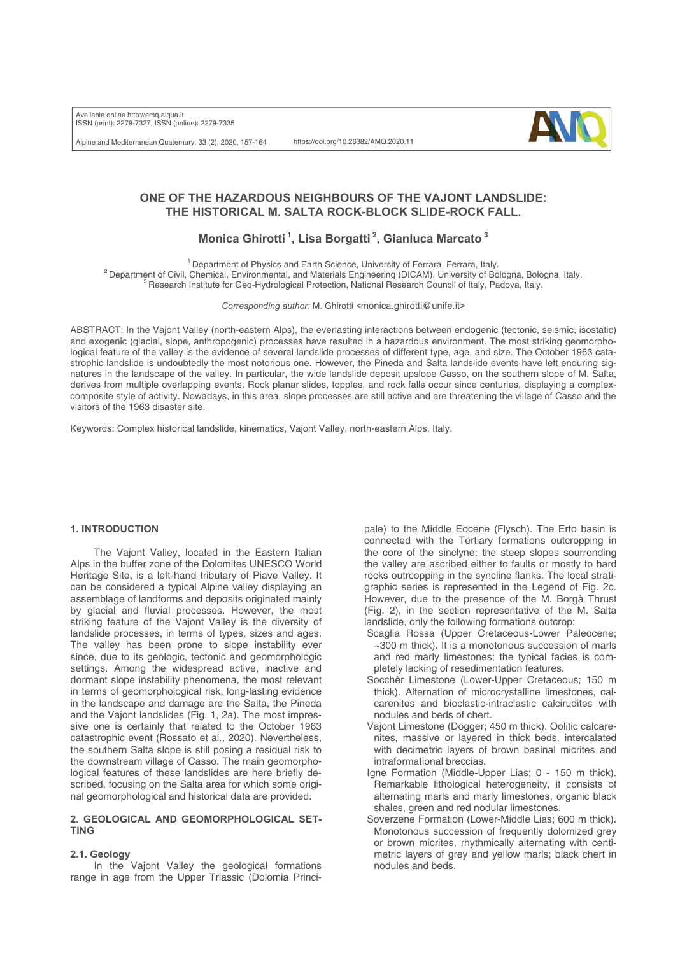Available online http://amq.aiqua.it ISSN (print): 2279-7327, ISSN (online): 2279-7335

Alpine and Mediterranean Quaternary, 33 (2), 2020, 157-164

https://doi.org/10.26382/AMQ.2020.11



# **ONE OF THE HAZARDOUS NEIGHBOURS OF THE VAJONT LANDSLIDE: THE HISTORICAL M. SALTA ROCK-BLOCK SLIDE-ROCK FALL.**

# **Monica Ghirotti 1, Lisa Borgatti 2, Gianluca Marcato 3**

<sup>1</sup> Department of Physics and Earth Science, University of Ferrara, Ferrara, Italy.<br><sup>2</sup> Department of Civil, Chemical, Environmental, and Materials Engineering (DICAM), University of Bologna, Bologna, Italy.<br><sup>3</sup> Research I

*Corresponding author:* M. Ghirotti *<*monica.ghirotti@unife.it*>*

ABSTRACT: In the Vajont Valley (north-eastern Alps), the everlasting interactions between endogenic (tectonic, seismic, isostatic) and exogenic (glacial, slope, anthropogenic) processes have resulted in a hazardous environment. The most striking geomorphological feature of the valley is the evidence of several landslide processes of different type, age, and size. The October 1963 catastrophic landslide is undoubtedly the most notorious one. However, the Pineda and Salta landslide events have left enduring signatures in the landscape of the valley. In particular, the wide landslide deposit upslope Casso, on the southern slope of M. Salta, derives from multiple overlapping events. Rock planar slides, topples, and rock falls occur since centuries, displaying a complexcomposite style of activity. Nowadays, in this area, slope processes are still active and are threatening the village of Casso and the visitors of the 1963 disaster site.

Keywords: Complex historical landslide, kinematics, Vajont Valley, north-eastern Alps, Italy.

### **1. INTRODUCTION**

The Vajont Valley, located in the Eastern Italian Alps in the buffer zone of the Dolomites UNESCO World Heritage Site, is a left-hand tributary of Piave Valley. It can be considered a typical Alpine valley displaying an assemblage of landforms and deposits originated mainly by glacial and fluvial processes. However, the most striking feature of the Vajont Valley is the diversity of landslide processes, in terms of types, sizes and ages. The valley has been prone to slope instability ever since, due to its geologic, tectonic and geomorphologic settings. Among the widespread active, inactive and dormant slope instability phenomena, the most relevant in terms of geomorphological risk, long-lasting evidence in the landscape and damage are the Salta, the Pineda and the Vajont landslides (Fig. 1, 2a). The most impressive one is certainly that related to the October 1963 catastrophic event (Rossato et al., 2020). Nevertheless, the southern Salta slope is still posing a residual risk to the downstream village of Casso. The main geomorphological features of these landslides are here briefly described, focusing on the Salta area for which some original geomorphological and historical data are provided.

# **2. GEOLOGICAL AND GEOMORPHOLOGICAL SET-TING**

# **2.1. Geology**

In the Vajont Valley the geological formations range in age from the Upper Triassic (Dolomia Principale) to the Middle Eocene (Flysch). The Erto basin is connected with the Tertiary formations outcropping in the core of the sinclyne: the steep slopes sourronding the valley are ascribed either to faults or mostly to hard rocks outrcopping in the syncline flanks. The local stratigraphic series is represented in the Legend of Fig. 2c. However, due to the presence of the M. Borgà Thrust (Fig. 2), in the section representative of the M. Salta landslide, only the following formations outcrop:

- Scaglia Rossa (Upper Cretaceous-Lower Paleocene; ~300 m thick). It is a monotonous succession of marls and red marly limestones; the typical facies is completely lacking of resedimentation features.
- Socchèr Limestone (Lower-Upper Cretaceous; 150 m thick). Alternation of microcrystalline limestones, calcarenites and bioclastic-intraclastic calcirudites with nodules and beds of chert.
- Vajont Limestone (Dogger; 450 m thick). Oolitic calcarenites, massive or layered in thick beds, intercalated with decimetric layers of brown basinal micrites and intraformational breccias.
- Igne Formation (Middle-Upper Lias; 0 150 m thick). Remarkable lithological heterogeneity, it consists of alternating marls and marly limestones, organic black shales, green and red nodular limestones.
- Soverzene Formation (Lower-Middle Lias; 600 m thick). Monotonous succession of frequently dolomized grey or brown micrites, rhythmically alternating with centimetric layers of grey and yellow marls; black chert in nodules and beds.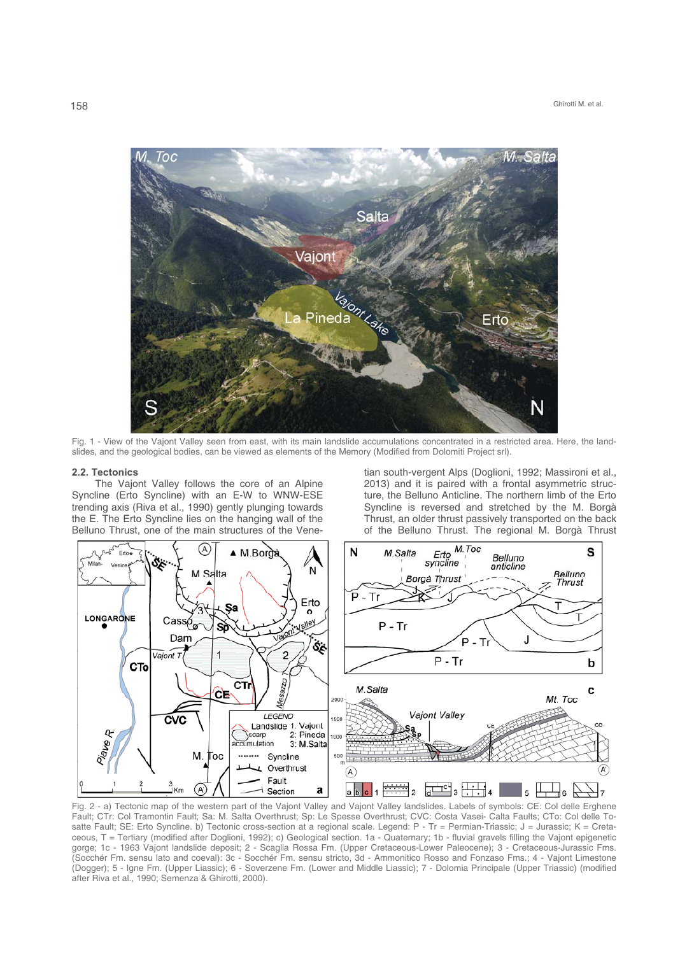

Fig. 1 - View of the Vajont Valley seen from east, with its main landslide accumulations concentrated in a restricted area. Here, the landslides, and the geological bodies, can be viewed as elements of the Memory (Modified from Dolomiti Project srl).

#### **2.2. Tectonics**

The Vajont Valley follows the core of an Alpine Syncline (Erto Syncline) with an E-W to WNW-ESE trending axis (Riva et al., 1990) gently plunging towards the E. The Erto Syncline lies on the hanging wall of the Belluno Thrust, one of the main structures of the Venetian south-vergent Alps (Doglioni, 1992; Massironi et al., 2013) and it is paired with a frontal asymmetric structure, the Belluno Anticline. The northern limb of the Erto Syncline is reversed and stretched by the M. Borgà Thrust, an older thrust passively transported on the back of the Belluno Thrust. The regional M. Borgà Thrust



Fig. 2 - a) Tectonic map of the western part of the Vajont Valley and Vajont Valley landslides. Labels of symbols: CE: Col delle Erghene Fault; CTr: Col Tramontin Fault; Sa: M. Salta Overthrust; Sp: Le Spesse Overthrust; CVC: Costa Vasei- Calta Faults; CTo: Col delle Tosatte Fault; SE: Erto Syncline. b) Tectonic cross-section at a regional scale. Legend: P - Tr = Permian-Triassic; J = Jurassic; K = Cretaceous, T = Tertiary (modified after Doglioni, 1992); c) Geological section. 1a - Quaternary; 1b - fluvial gravels filling the Vajont epigenetic gorge; 1c - 1963 Vajont landslide deposit; 2 - Scaglia Rossa Fm. (Upper Cretaceous-Lower Paleocene); 3 - Cretaceous-Jurassic Fms. (Socchér Fm. sensu lato and coeval): 3c - Socchér Fm. sensu stricto, 3d - Ammonitico Rosso and Fonzaso Fms.; 4 - Vajont Limestone (Dogger); 5 - Igne Fm. (Upper Liassic); 6 - Soverzene Fm. (Lower and Middle Liassic); 7 - Dolomia Principale (Upper Triassic) (modified after Riva et al., 1990; Semenza & Ghirotti, 2000).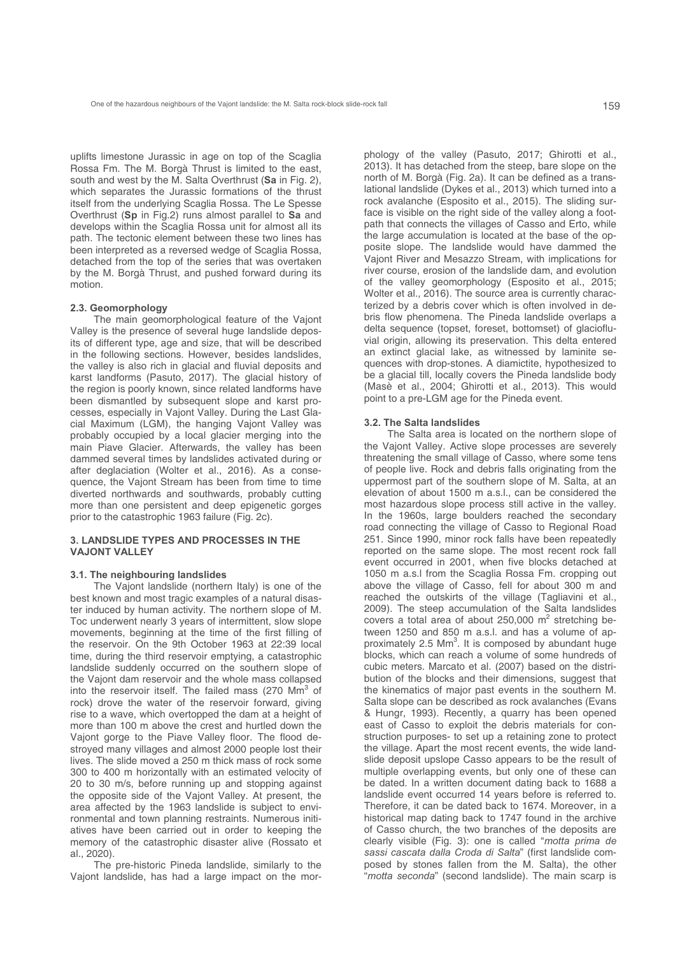uplifts limestone Jurassic in age on top of the Scaglia Rossa Fm. The M. Borgà Thrust is limited to the east, south and west by the M. Salta Overthrust (**Sa** in Fig. 2), which separates the Jurassic formations of the thrust itself from the underlying Scaglia Rossa. The Le Spesse Overthrust (**Sp** in Fig.2) runs almost parallel to **Sa** and develops within the Scaglia Rossa unit for almost all its path. The tectonic element between these two lines has been interpreted as a reversed wedge of Scaglia Rossa, detached from the top of the series that was overtaken by the M. Borgà Thrust, and pushed forward during its motion.

#### **2.3. Geomorphology**

The main geomorphological feature of the Vajont Valley is the presence of several huge landslide deposits of different type, age and size, that will be described in the following sections. However, besides landslides, the valley is also rich in glacial and fluvial deposits and karst landforms (Pasuto, 2017). The glacial history of the region is poorly known, since related landforms have been dismantled by subsequent slope and karst processes, especially in Vajont Valley. During the Last Glacial Maximum (LGM), the hanging Vajont Valley was probably occupied by a local glacier merging into the main Piave Glacier. Afterwards, the valley has been dammed several times by landslides activated during or after deglaciation (Wolter et al., 2016). As a consequence, the Vajont Stream has been from time to time diverted northwards and southwards, probably cutting more than one persistent and deep epigenetic gorges prior to the catastrophic 1963 failure (Fig. 2c).

## **3. LANDSLIDE TYPES AND PROCESSES IN THE VAJONT VALLEY**

#### **3.1. The neighbouring landslides**

The Vajont landslide (northern Italy) is one of the best known and most tragic examples of a natural disaster induced by human activity. The northern slope of M. Toc underwent nearly 3 years of intermittent, slow slope movements, beginning at the time of the first filling of the reservoir. On the 9th October 1963 at 22:39 local time, during the third reservoir emptying, a catastrophic landslide suddenly occurred on the southern slope of the Vajont dam reservoir and the whole mass collapsed into the reservoir itself. The failed mass (270  $\text{Mm}^3$  of rock) drove the water of the reservoir forward, giving rise to a wave, which overtopped the dam at a height of more than 100 m above the crest and hurtled down the Vajont gorge to the Piave Valley floor. The flood destroyed many villages and almost 2000 people lost their lives. The slide moved a 250 m thick mass of rock some 300 to 400 m horizontally with an estimated velocity of 20 to 30 m/s, before running up and stopping against the opposite side of the Vajont Valley. At present, the area affected by the 1963 landslide is subject to environmental and town planning restraints. Numerous initiatives have been carried out in order to keeping the memory of the catastrophic disaster alive (Rossato et al., 2020).

The pre-historic Pineda landslide, similarly to the Vajont landslide, has had a large impact on the morphology of the valley (Pasuto, 2017; Ghirotti et al., 2013). It has detached from the steep, bare slope on the north of M. Borgà (Fig. 2a). It can be defined as a translational landslide (Dykes et al., 2013) which turned into a rock avalanche (Esposito et al., 2015). The sliding surface is visible on the right side of the valley along a footpath that connects the villages of Casso and Erto, while the large accumulation is located at the base of the opposite slope. The landslide would have dammed the Vajont River and Mesazzo Stream, with implications for river course, erosion of the landslide dam, and evolution of the valley geomorphology (Esposito et al., 2015; Wolter et al., 2016). The source area is currently characterized by a debris cover which is often involved in debris flow phenomena. The Pineda landslide overlaps a delta sequence (topset, foreset, bottomset) of glaciofluvial origin, allowing its preservation. This delta entered an extinct glacial lake, as witnessed by laminite sequences with drop-stones. A diamictite, hypothesized to be a glacial till, locally covers the Pineda landslide body (Masè et al., 2004; Ghirotti et al., 2013). This would point to a pre-LGM age for the Pineda event.

#### **3.2. The Salta landslides**

The Salta area is located on the northern slope of the Vajont Valley. Active slope processes are severely threatening the small village of Casso, where some tens of people live. Rock and debris falls originating from the uppermost part of the southern slope of M. Salta, at an elevation of about 1500 m a.s.l., can be considered the most hazardous slope process still active in the valley. In the 1960s, large boulders reached the secondary road connecting the village of Casso to Regional Road 251. Since 1990, minor rock falls have been repeatedly reported on the same slope. The most recent rock fall event occurred in 2001, when five blocks detached at 1050 m a.s.l from the Scaglia Rossa Fm. cropping out above the village of Casso, fell for about 300 m and reached the outskirts of the village (Tagliavini et al., 2009). The steep accumulation of the Salta landslides covers a total area of about 250,000  $m^2$  stretching between 1250 and 850 m a.s.l. and has a volume of approximately 2.5 Mm<sup>3</sup>. It is composed by abundant huge blocks, which can reach a volume of some hundreds of cubic meters. Marcato et al. (2007) based on the distribution of the blocks and their dimensions, suggest that the kinematics of major past events in the southern M. Salta slope can be described as rock avalanches (Evans & Hungr, 1993). Recently, a quarry has been opened east of Casso to exploit the debris materials for construction purposes- to set up a retaining zone to protect the village. Apart the most recent events, the wide landslide deposit upslope Casso appears to be the result of multiple overlapping events, but only one of these can be dated. In a written document dating back to 1688 a landslide event occurred 14 years before is referred to. Therefore, it can be dated back to 1674. Moreover, in a historical map dating back to 1747 found in the archive of Casso church, the two branches of the deposits are clearly visible (Fig. 3): one is called "*motta prima de sassi cascata dalla Croda di Salta*" (first landslide composed by stones fallen from the M. Salta), the other "*motta seconda*" (second landslide). The main scarp is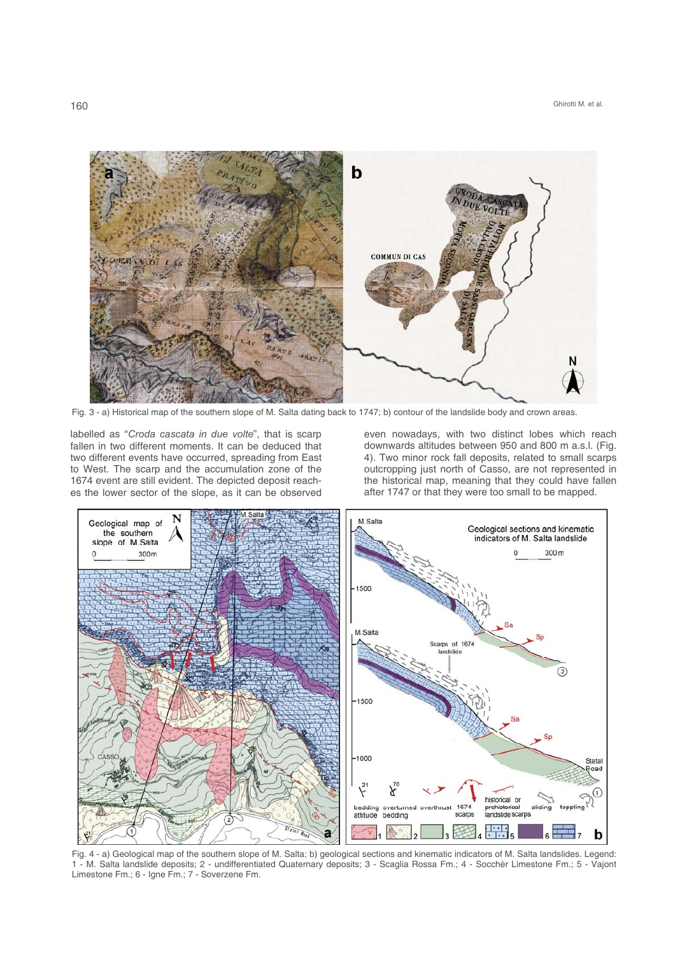

Fig. 3 - a) Historical map of the southern slope of M. Salta dating back to 1747; b) contour of the landslide body and crown areas.

labelled as "*Croda cascata in due volte*", that is scarp fallen in two different moments. It can be deduced that two different events have occurred, spreading from East to West. The scarp and the accumulation zone of the 1674 event are still evident. The depicted deposit reaches the lower sector of the slope, as it can be observed

even nowadays, with two distinct lobes which reach downwards altitudes between 950 and 800 m a.s.l. (Fig. 4). Two minor rock fall deposits, related to small scarps outcropping just north of Casso, are not represented in the historical map, meaning that they could have fallen after 1747 or that they were too small to be mapped.



Fig. 4 - a) Geological map of the southern slope of M. Salta; b) geological sections and kinematic indicators of M. Salta landslides. Legend: 1 - M. Salta landslide deposits; 2 - undifferentiated Quaternary deposits; 3 - Scaglia Rossa Fm.; 4 - Socchèr Limestone Fm.; 5 - Vajont Limestone Fm.; 6 - Igne Fm.; 7 - Soverzene Fm.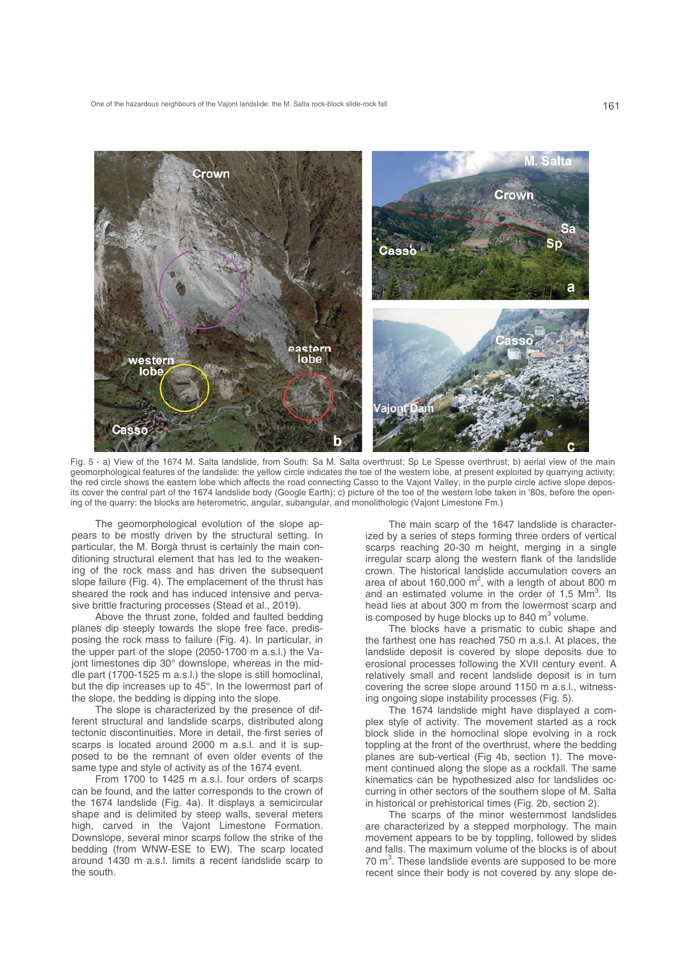

Fig. 5 - a) View of the 1674 M. Salta landslide, from South: Sa M. Salta overthrust; Sp Le Spesse overthrust; b) aerial view of the main geomorphological features of the landslide: the yellow circle indicates the toe of the western lobe, at present exploited by quarrying activity; the red circle shows the eastern lobe which affects the road connecting Casso to the Vajont Valley; in the purple circle active slope deposits cover the central part of the 1674 landslide body (Google Earth); c) picture of the toe of the western lobe taken in '80s, before the opening of the quarry: the blocks are heterometric, angular, subangular, and monolithologic (Vajont Limestone Fm.)

The geomorphological evolution of the slope appears to be mostly driven by the structural setting. In particular, the M. Borgà thrust is certainly the main conditioning structural element that has led to the weakening of the rock mass and has driven the subsequent slope failure (Fig. 4). The emplacement of the thrust has sheared the rock and has induced intensive and pervasive brittle fracturing processes (Stead et al., 2019).

Above the thrust zone, folded and faulted bedding planes dip steeply towards the slope free face, predisposing the rock mass to failure (Fig. 4). In particular, in the upper part of the slope (2050-1700 m a.s.l.) the Vajont limestones dip 30° downslope, whereas in the middle part (1700-1525 m a.s.l.) the slope is still homoclinal, but the dip increases up to 45°. In the lowermost part of the slope, the bedding is dipping into the slope.

The slope is characterized by the presence of different structural and landslide scarps, distributed along tectonic discontinuities. More in detail, the first series of scarps is located around 2000 m a.s.l. and it is supposed to be the remnant of even older events of the same type and style of activity as of the 1674 event.

From 1700 to 1425 m a.s.l. four orders of scarps can be found, and the latter corresponds to the crown of the 1674 landslide (Fig. 4a). It displays a semicircular shape and is delimited by steep walls, several meters high, carved in the Vajont Limestone Formation. Downslope, several minor scarps follow the strike of the bedding (from WNW-ESE to EW). The scarp located around 1430 m a.s.l. limits a recent landslide scarp to the south.

The main scarp of the 1647 landslide is characterized by a series of steps forming three orders of vertical scarps reaching 20-30 m height, merging in a single irregular scarp along the western flank of the landslide crown. The historical landslide accumulation covers an area of about 160,000  $m^2$ , with a length of about 800 m and an estimated volume in the order of  $1,5$  Mm<sup>3</sup>. Its head lies at about 300 m from the lowermost scarp and is composed by huge blocks up to 840  $m^3$  volume.

The blocks have a prismatic to cubic shape and the farthest one has reached 750 m a.s.l. At places, the landslide deposit is covered by slope deposits due to erosional processes following the XVII century event. A relatively small and recent landslide deposit is in turn covering the scree slope around 1150 m a.s.l., witnessing ongoing slope instability processes (Fig. 5).

The 1674 landslide might have displayed a complex style of activity. The movement started as a rock block slide in the homoclinal slope evolving in a rock toppling at the front of the overthrust, where the bedding planes are sub-vertical (Fig 4b, section 1). The movement continued along the slope as a rockfall. The same kinematics can be hypothesized also for landslides occurring in other sectors of the southern slope of M. Salta in historical or prehistorical times (Fig. 2b, section 2).

The scarps of the minor westernmost landslides are characterized by a stepped morphology. The main movement appears to be by toppling, followed by slides and falls. The maximum volume of the blocks is of about  $70 \text{ m}^3$ . These landslide events are supposed to be more recent since their body is not covered by any slope de-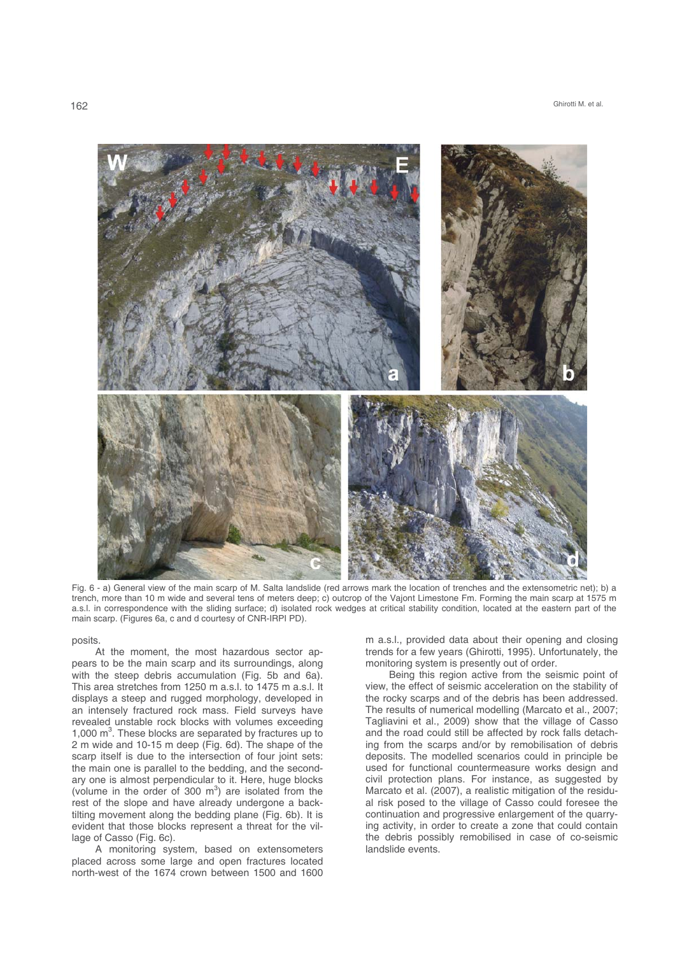

Fig. 6 - a) General view of the main scarp of M. Salta landslide (red arrows mark the location of trenches and the extensometric net); b) a trench, more than 10 m wide and several tens of meters deep; c) outcrop of the Vajont Limestone Fm. Forming the main scarp at 1575 m a.s.l. in correspondence with the sliding surface; d) isolated rock wedges at critical stability condition, located at the eastern part of the main scarp. (Figures 6a, c and d courtesy of CNR-IRPI PD).

posits.

At the moment, the most hazardous sector appears to be the main scarp and its surroundings, along with the steep debris accumulation (Fig. 5b and 6a). This area stretches from 1250 m a.s.l. to 1475 m a.s.l. It displays a steep and rugged morphology, developed in an intensely fractured rock mass. Field surveys have revealed unstable rock blocks with volumes exceeding 1,000 m<sup>3</sup>. These blocks are separated by fractures up to 2 m wide and 10-15 m deep (Fig. 6d). The shape of the scarp itself is due to the intersection of four joint sets: the main one is parallel to the bedding, and the secondary one is almost perpendicular to it. Here, huge blocks (volume in the order of 300  $m<sup>3</sup>$ ) are isolated from the rest of the slope and have already undergone a backtilting movement along the bedding plane (Fig. 6b). It is evident that those blocks represent a threat for the village of Casso (Fig. 6c).

A monitoring system, based on extensometers placed across some large and open fractures located north-west of the 1674 crown between 1500 and 1600

m a.s.l., provided data about their opening and closing trends for a few years (Ghirotti, 1995). Unfortunately, the monitoring system is presently out of order.

Being this region active from the seismic point of view, the effect of seismic acceleration on the stability of the rocky scarps and of the debris has been addressed. The results of numerical modelling (Marcato et al., 2007; Tagliavini et al., 2009) show that the village of Casso and the road could still be affected by rock falls detaching from the scarps and/or by remobilisation of debris deposits. The modelled scenarios could in principle be used for functional countermeasure works design and civil protection plans. For instance, as suggested by Marcato et al. (2007), a realistic mitigation of the residual risk posed to the village of Casso could foresee the continuation and progressive enlargement of the quarrying activity, in order to create a zone that could contain the debris possibly remobilised in case of co-seismic landslide events.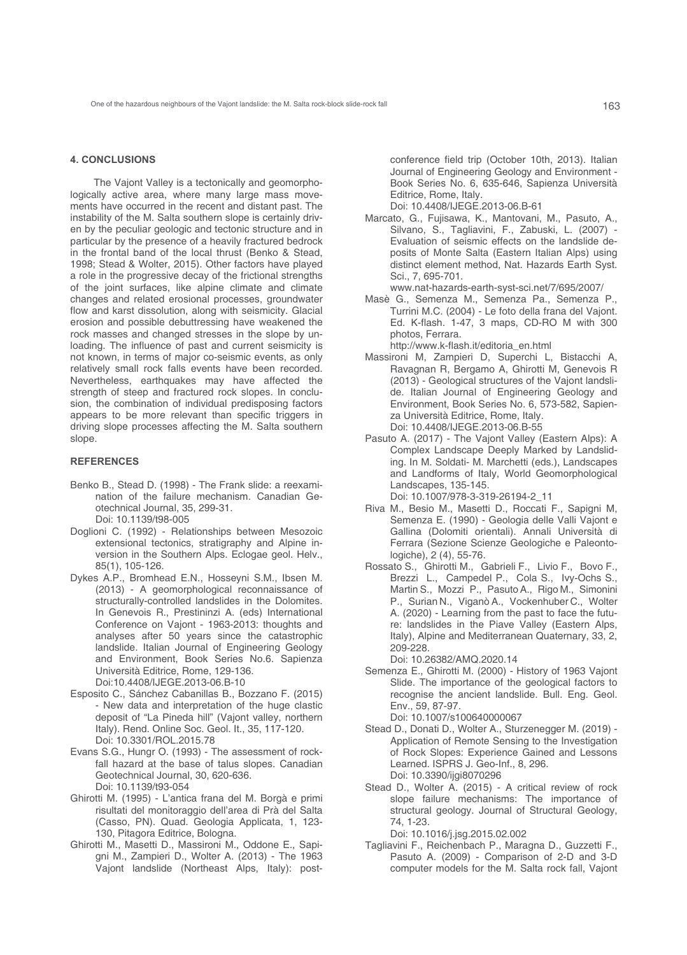### **4. CONCLUSIONS**

The Vajont Valley is a tectonically and geomorphologically active area, where many large mass movements have occurred in the recent and distant past. The instability of the M. Salta southern slope is certainly driven by the peculiar geologic and tectonic structure and in particular by the presence of a heavily fractured bedrock in the frontal band of the local thrust (Benko & Stead, 1998; Stead & Wolter, 2015). Other factors have played a role in the progressive decay of the frictional strengths of the joint surfaces, like alpine climate and climate changes and related erosional processes, groundwater flow and karst dissolution, along with seismicity. Glacial erosion and possible debuttressing have weakened the rock masses and changed stresses in the slope by unloading. The influence of past and current seismicity is not known, in terms of major co-seismic events, as only relatively small rock falls events have been recorded. Nevertheless, earthquakes may have affected the strength of steep and fractured rock slopes. In conclusion, the combination of individual predisposing factors appears to be more relevant than specific triggers in driving slope processes affecting the M. Salta southern slope.

## **REFERENCES**

- Benko B., Stead D. (1998) The Frank slide: a reexamination of the failure mechanism. Canadian Geotechnical Journal, 35, 299-31. Doi: 10.1139/t98-005
- Doglioni C. (1992) Relationships between Mesozoic extensional tectonics, stratigraphy and Alpine inversion in the Southern Alps. Eclogae geol. Helv., 85(1), 105-126.
- Dykes A.P., Bromhead E.N., Hosseyni S.M., Ibsen M. (2013) - A geomorphological reconnaissance of structurally-controlled landslides in the Dolomites. In Genevois R., Prestininzi A. (eds) International Conference on Vajont - 1963-2013: thoughts and analyses after 50 years since the catastrophic landslide. Italian Journal of Engineering Geology and Environment, Book Series No.6. Sapienza Università Editrice, Rome, 129-136. Doi:10.4408/IJEGE.2013-06.B-10
- Esposito C., Sánchez Cabanillas B., Bozzano F. (2015) - New data and interpretation of the huge clastic deposit of "La Pineda hill" (Vajont valley, northern Italy). Rend. Online Soc. Geol. It., 35, 117-120. Doi: 10.3301/ROL.2015.78
- Evans S.G., Hungr O. (1993) The assessment of rockfall hazard at the base of talus slopes. Canadian Geotechnical Journal, 30, 620-636. Doi: 10.1139/t93-054
- Ghirotti M. (1995) L'antica frana del M. Borgà e primi risultati del monitoraggio dell'area di Prà del Salta (Casso, PN). Quad. Geologia Applicata, 1, 123- 130, Pitagora Editrice, Bologna.
- Ghirotti M., Masetti D., Massironi M., Oddone E., Sapigni M., Zampieri D., Wolter A. (2013) - The 1963 Vajont landslide (Northeast Alps, Italy): post-

 conference field trip (October 10th, 2013). Italian Journal of Engineering Geology and Environment - Book Series No. 6, 635-646, Sapienza Università Editrice, Rome, Italy.

Doi: 10.4408/IJEGE.2013-06.B-61

Marcato, G., Fujisawa, K., Mantovani, M., Pasuto, A., Silvano, S., Tagliavini, F., Zabuski, L. (2007) - Evaluation of seismic effects on the landslide deposits of Monte Salta (Eastern Italian Alps) using distinct element method, Nat. Hazards Earth Syst. Sci., 7, 695-701.

www.nat-hazards-earth-syst-sci.net/7/695/2007/

- Masè G., Semenza M., Semenza Pa., Semenza P., Turrini M.C. (2004) - Le foto della frana del Vajont. Ed. K-flash. 1-47, 3 maps, CD-RO M with 300 photos, Ferrara. http://www.k-flash.it/editoria\_en.html
- Massironi M, Zampieri D, Superchi L, Bistacchi A, Ravagnan R, Bergamo A, Ghirotti M, Genevois R (2013) - Geological structures of the Vajont landslide. Italian Journal of Engineering Geology and Environment, Book Series No. 6, 573-582, Sapienza Università Editrice, Rome, Italy. Doi: 10.4408/IJEGE.2013-06.B-55
- Pasuto A. (2017) The Vajont Valley (Eastern Alps): A Complex Landscape Deeply Marked by Landsliding. In M. Soldati- M. Marchetti (eds.), Landscapes and Landforms of Italy, World Geomorphological Landscapes, 135-145. Doi: 10.1007/978-3-319-26194-2\_11
- Riva M., Besio M., Masetti D., Roccati F., Sapigni M, Semenza E. (1990) - Geologia delle Valli Vajont e Gallina (Dolomiti orientali). Annali Università di Ferrara (Sezione Scienze Geologiche e Paleontologiche), 2 (4), 55-76.
- Rossato S., Ghirotti M., Gabrieli F., Livio F., Bovo F., Brezzi L., Campedel P., Cola S., Ivy-Ochs S., Martin S., Mozzi P., Pasuto A., Rigo M., Simonini P., Surian N., Viganò A., Vockenhuber C., Wolter A. (2020) - Learning from the past to face the future: landslides in the Piave Valley (Eastern Alps, Italy), Alpine and Mediterranean Quaternary, 33, 2, 209-228.

Doi: 10.26382/AMQ.2020.14

- Semenza E., Ghirotti M. (2000) History of 1963 Vajont Slide. The importance of the geological factors to recognise the ancient landslide. Bull. Eng. Geol. Env., 59, 87-97. Doi: 10.1007/s100640000067
- Stead D., Donati D., Wolter A., Sturzenegger M. (2019) Application of Remote Sensing to the Investigation of Rock Slopes: Experience Gained and Lessons Learned. ISPRS J. Geo-Inf., 8, 296. Doi: 10.3390/ijgi8070296
- Stead D., Wolter A. (2015) A critical review of rock slope failure mechanisms: The importance of structural geology. Journal of Structural Geology, 74, 1-23.

Doi: 10.1016/j.jsg.2015.02.002

Tagliavini F., Reichenbach P., Maragna D., Guzzetti F., Pasuto A. (2009) - Comparison of 2-D and 3-D computer models for the M. Salta rock fall, Vajont